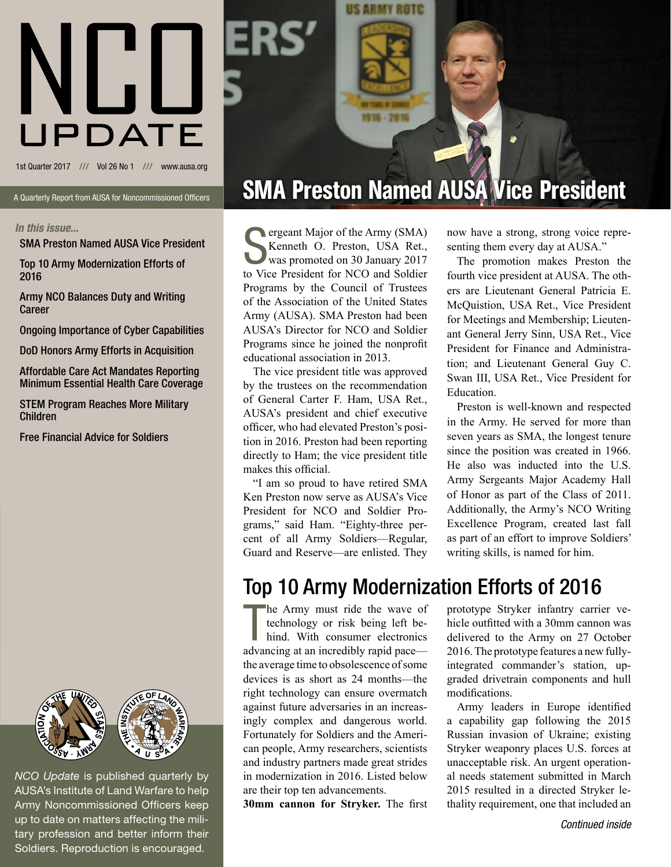

US ARMY ROTC

A Quarterly Report from AUSA for Noncommissioned Officers

#### *In this issue...*

SMA Preston Named AUSA Vice President

Top 10 Army Modernization Efforts of 2016

Army NCO Balances Duty and Writing Career

Ongoing Importance of Cyber Capabilities

DoD Honors Army Efforts in Acquisition

Affordable Care Act Mandates Reporting Minimum Essential Health Care Coverage

STEM Program Reaches More Military Children

Free Financial Advice for Soldiers



*NCO Update* is published quarterly by AUSA's Institute of Land Warfare to help Army Noncommissioned Officers keep up to date on matters affecting the military profession and better inform their Soldiers. Reproduction is encouraged.

# SMA Preston Named AUSA Vice President

Supergram Major of the Army (SMA)<br>
Supergram Comment Communications and Soldier<br>
Supergram Communications and Soldier<br>
Supergram Communications and Soldier<br>
Supergram Communications and Soldier<br>
Supergram Communications an ergeant Major of the Army (SMA) Kenneth O. Preston, USA Ret., was promoted on 30 January 2017 Programs by the Council of Trustees of the Association of the United States Army (AUSA). SMA Preston had been AUSA's Director for NCO and Soldier Programs since he joined the nonprofit educational association in 2013.

The vice president title was approved by the trustees on the recommendation of General Carter F. Ham, USA Ret., AUSA's president and chief executive officer, who had elevated Preston's position in 2016. Preston had been reporting directly to Ham; the vice president title makes this official.

"I am so proud to have retired SMA Ken Preston now serve as AUSA's Vice President for NCO and Soldier Programs," said Ham. "Eighty-three percent of all Army Soldiers—Regular, Guard and Reserve—are enlisted. They now have a strong, strong voice representing them every day at AUSA."

The promotion makes Preston the fourth vice president at AUSA. The others are Lieutenant General Patricia E. McQuistion, USA Ret., Vice President for Meetings and Membership; Lieutenant General Jerry Sinn, USA Ret., Vice President for Finance and Administration; and Lieutenant General Guy C. Swan III, USA Ret., Vice President for Education.

Preston is well-known and respected in the Army. He served for more than seven years as SMA, the longest tenure since the position was created in 1966. He also was inducted into the U.S. Army Sergeants Major Academy Hall of Honor as part of the Class of 2011. Additionally, the Army's NCO Writing Excellence Program, created last fall as part of an effort to improve Soldiers' writing skills, is named for him.

## Top 10 Army Modernization Efforts of 2016

he Army must ride the wave of technology or risk being left behind. With consumer electronics advancing at an incredibly rapid pace he Army must ride the wave of technology or risk being left behind. With consumer electronics the average time to obsolescence of some devices is as short as 24 months—the right technology can ensure overmatch against future adversaries in an increasingly complex and dangerous world. Fortunately for Soldiers and the American people, Army researchers, scientists and industry partners made great strides in modernization in 2016. Listed below are their top ten advancements.

**30mm cannon for Stryker.** The first

prototype Stryker infantry carrier vehicle outfitted with a 30mm cannon was delivered to the Army on 27 October 2016. The prototype features a new fullyintegrated commander's station, upgraded drivetrain components and hull modifications.

Army leaders in Europe identified a capability gap following the 2015 Russian invasion of Ukraine; existing Stryker weaponry places U.S. forces at unacceptable risk. An urgent operational needs statement submitted in March 2015 resulted in a directed Stryker lethality requirement, one that included an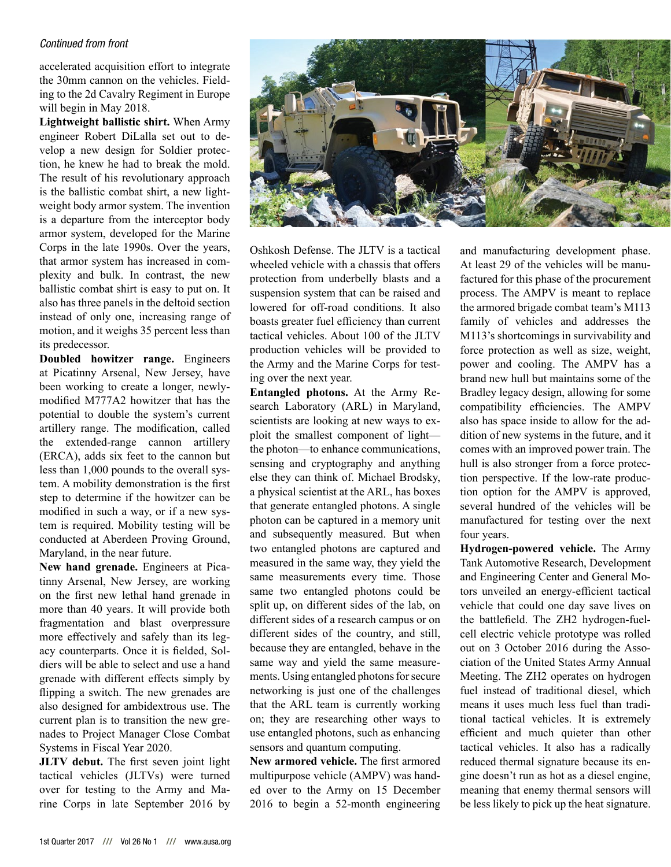### *Continued from front*

accelerated acquisition effort to integrate the 30mm cannon on the vehicles. Fielding to the 2d Cavalry Regiment in Europe will begin in May 2018.

**Lightweight ballistic shirt.** When Army engineer Robert DiLalla set out to develop a new design for Soldier protection, he knew he had to break the mold. The result of his revolutionary approach is the ballistic combat shirt, a new lightweight body armor system. The invention is a departure from the interceptor body armor system, developed for the Marine Corps in the late 1990s. Over the years, that armor system has increased in complexity and bulk. In contrast, the new ballistic combat shirt is easy to put on. It also has three panels in the deltoid section instead of only one, increasing range of motion, and it weighs 35 percent less than its predecessor.

**Doubled howitzer range.** Engineers at Picatinny Arsenal, New Jersey, have been working to create a longer, newlymodified M777A2 howitzer that has the potential to double the system's current artillery range. The modification, called the extended-range cannon artillery (ERCA), adds six feet to the cannon but less than 1,000 pounds to the overall system. A mobility demonstration is the first step to determine if the howitzer can be modified in such a way, or if a new system is required. Mobility testing will be conducted at Aberdeen Proving Ground, Maryland, in the near future.

**New hand grenade.** Engineers at Picatinny Arsenal, New Jersey, are working on the first new lethal hand grenade in more than 40 years. It will provide both fragmentation and blast overpressure more effectively and safely than its legacy counterparts. Once it is fielded, Soldiers will be able to select and use a hand grenade with different effects simply by flipping a switch. The new grenades are also designed for ambidextrous use. The current plan is to transition the new grenades to Project Manager Close Combat Systems in Fiscal Year 2020.

**JLTV debut.** The first seven joint light tactical vehicles (JLTVs) were turned over for testing to the Army and Marine Corps in late September 2016 by



Oshkosh Defense. The JLTV is a tactical wheeled vehicle with a chassis that offers protection from underbelly blasts and a suspension system that can be raised and lowered for off-road conditions. It also boasts greater fuel efficiency than current tactical vehicles. About 100 of the JLTV production vehicles will be provided to the Army and the Marine Corps for testing over the next year.

**Entangled photons.** At the Army Research Laboratory (ARL) in Maryland, scientists are looking at new ways to exploit the smallest component of light the photon—to enhance communications, sensing and cryptography and anything else they can think of. Michael Brodsky, a physical scientist at the ARL, has boxes that generate entangled photons. A single photon can be captured in a memory unit and subsequently measured. But when two entangled photons are captured and measured in the same way, they yield the same measurements every time. Those same two entangled photons could be split up, on different sides of the lab, on different sides of a research campus or on different sides of the country, and still, because they are entangled, behave in the same way and yield the same measurements. Using entangled photons for secure networking is just one of the challenges that the ARL team is currently working on; they are researching other ways to use entangled photons, such as enhancing sensors and quantum computing.

**New armored vehicle.** The first armored multipurpose vehicle (AMPV) was handed over to the Army on 15 December 2016 to begin a 52-month engineering

and manufacturing development phase. At least 29 of the vehicles will be manufactured for this phase of the procurement process. The AMPV is meant to replace the armored brigade combat team's M113 family of vehicles and addresses the M113's shortcomings in survivability and force protection as well as size, weight, power and cooling. The AMPV has a brand new hull but maintains some of the Bradley legacy design, allowing for some compatibility efficiencies. The AMPV also has space inside to allow for the addition of new systems in the future, and it comes with an improved power train. The hull is also stronger from a force protection perspective. If the low-rate production option for the AMPV is approved, several hundred of the vehicles will be manufactured for testing over the next four years.

**Hydrogen-powered vehicle.** The Army Tank Automotive Research, Development and Engineering Center and General Motors unveiled an energy-efficient tactical vehicle that could one day save lives on the battlefield. The ZH2 hydrogen-fuelcell electric vehicle prototype was rolled out on 3 October 2016 during the Association of the United States Army Annual Meeting. The ZH2 operates on hydrogen fuel instead of traditional diesel, which means it uses much less fuel than traditional tactical vehicles. It is extremely efficient and much quieter than other tactical vehicles. It also has a radically reduced thermal signature because its engine doesn't run as hot as a diesel engine, meaning that enemy thermal sensors will be less likely to pick up the heat signature.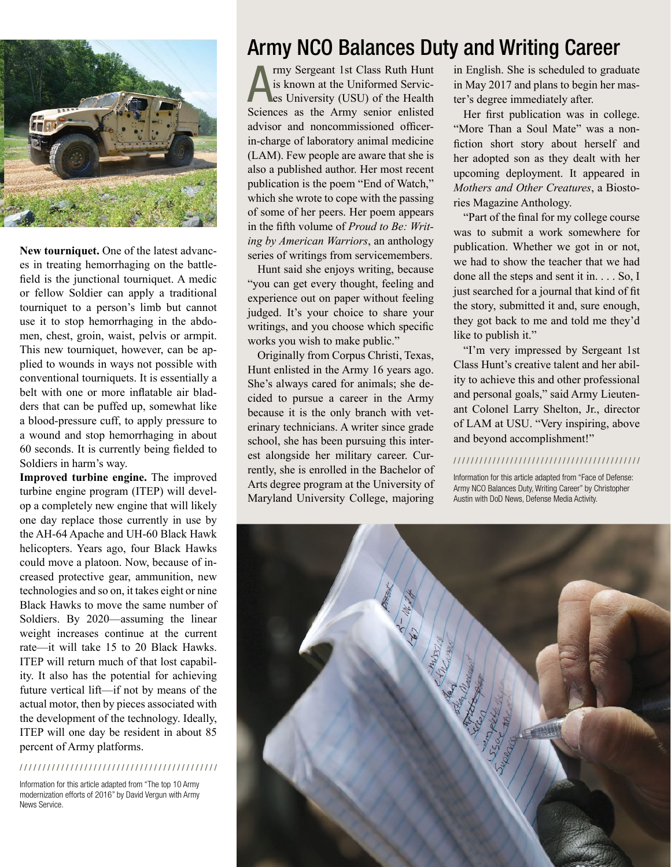

**New tourniquet.** One of the latest advances in treating hemorrhaging on the battlefield is the junctional tourniquet. A medic or fellow Soldier can apply a traditional tourniquet to a person's limb but cannot use it to stop hemorrhaging in the abdomen, chest, groin, waist, pelvis or armpit. This new tourniquet, however, can be applied to wounds in ways not possible with conventional tourniquets. It is essentially a belt with one or more inflatable air bladders that can be puffed up, somewhat like a blood-pressure cuff, to apply pressure to a wound and stop hemorrhaging in about 60 seconds. It is currently being fielded to Soldiers in harm's way.

**Improved turbine engine.** The improved turbine engine program (ITEP) will develop a completely new engine that will likely one day replace those currently in use by the AH-64 Apache and UH-60 Black Hawk helicopters. Years ago, four Black Hawks could move a platoon. Now, because of increased protective gear, ammunition, new technologies and so on, it takes eight or nine Black Hawks to move the same number of Soldiers. By 2020—assuming the linear weight increases continue at the current rate—it will take 15 to 20 Black Hawks. ITEP will return much of that lost capability. It also has the potential for achieving future vertical lift—if not by means of the actual motor, then by pieces associated with the development of the technology. Ideally, ITEP will one day be resident in about 85 percent of Army platforms.

### / / / / / / / / / / / / / / / / / / / / / / / / / / / / / / / / / / / / / / / / / / /

Information for this article adapted from "The top 10 Army modernization efforts of 2016" by David Vergun with Army News Service.

## Army NCO Balances Duty and Writing Career

A rmy Sergeant 1st Class Ruth Hunt<br>is known at the Uniformed Servic-<br>es University (USU) of the Health<br>Sciences as the Army senior enlisted rmy Sergeant 1st Class Ruth Hunt is known at the Uniformed Services University (USU) of the Health advisor and noncommissioned officerin-charge of laboratory animal medicine (LAM). Few people are aware that she is also a published author. Her most recent publication is the poem "End of Watch," which she wrote to cope with the passing of some of her peers. Her poem appears in the fifth volume of *Proud to Be: Writing by American Warriors*, an anthology series of writings from servicemembers.

Hunt said she enjoys writing, because "you can get every thought, feeling and experience out on paper without feeling judged. It's your choice to share your writings, and you choose which specific works you wish to make public."

Originally from Corpus Christi, Texas, Hunt enlisted in the Army 16 years ago. She's always cared for animals; she decided to pursue a career in the Army because it is the only branch with veterinary technicians. A writer since grade school, she has been pursuing this interest alongside her military career. Currently, she is enrolled in the Bachelor of Arts degree program at the University of Maryland University College, majoring in English. She is scheduled to graduate in May 2017 and plans to begin her master's degree immediately after.

Her first publication was in college. "More Than a Soul Mate" was a nonfiction short story about herself and her adopted son as they dealt with her upcoming deployment. It appeared in *Mothers and Other Creatures*, a Biostories Magazine Anthology.

"Part of the final for my college course was to submit a work somewhere for publication. Whether we got in or not, we had to show the teacher that we had done all the steps and sent it in. . . . So, I just searched for a journal that kind of fit the story, submitted it and, sure enough, they got back to me and told me they'd like to publish it."

"I'm very impressed by Sergeant 1st Class Hunt's creative talent and her ability to achieve this and other professional and personal goals," said Army Lieutenant Colonel Larry Shelton, Jr., director of LAM at USU. "Very inspiring, above and beyond accomplishment!"

### / / / / / / / / / / / / / / / / / / / / / / / / / / / / / / / / / / / / / / / / / / /

Information for this article adapted from "Face of Defense: Army NCO Balances Duty, Writing Career" by Christopher Austin with DoD News, Defense Media Activity.

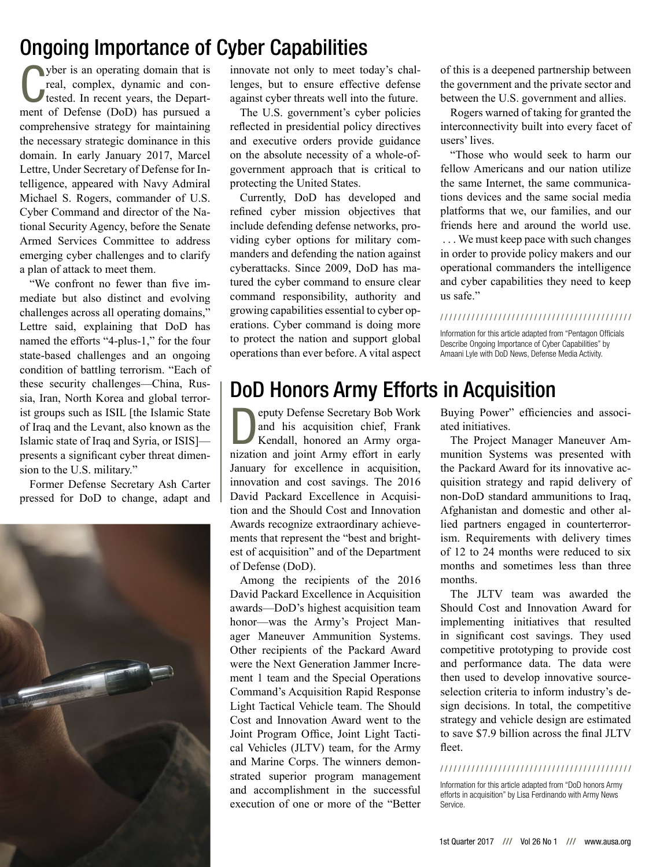## Ongoing Importance of Cyber Capabilities

Wher is an operating domain that is<br>real, complex, dynamic and con-<br>tested. In recent years, the Depart-<br>ment of Defense (DoD) has pursued a yber is an operating domain that is real, complex, dynamic and contested. In recent years, the Departcomprehensive strategy for maintaining the necessary strategic dominance in this domain. In early January 2017, Marcel Lettre, Under Secretary of Defense for Intelligence, appeared with Navy Admiral Michael S. Rogers, commander of U.S. Cyber Command and director of the National Security Agency, before the Senate Armed Services Committee to address emerging cyber challenges and to clarify a plan of attack to meet them.

"We confront no fewer than five immediate but also distinct and evolving challenges across all operating domains," Lettre said, explaining that DoD has named the efforts "4-plus-1," for the four state-based challenges and an ongoing condition of battling terrorism. "Each of these security challenges—China, Russia, Iran, North Korea and global terrorist groups such as ISIL [the Islamic State of Iraq and the Levant, also known as the Islamic state of Iraq and Syria, or ISIS] presents a significant cyber threat dimension to the U.S. military."

Former Defense Secretary Ash Carter pressed for DoD to change, adapt and



innovate not only to meet today's challenges, but to ensure effective defense against cyber threats well into the future.

The U.S. government's cyber policies reflected in presidential policy directives and executive orders provide guidance on the absolute necessity of a whole-ofgovernment approach that is critical to protecting the United States.

Currently, DoD has developed and refined cyber mission objectives that include defending defense networks, providing cyber options for military commanders and defending the nation against cyberattacks. Since 2009, DoD has matured the cyber command to ensure clear command responsibility, authority and growing capabilities essential to cyber operations. Cyber command is doing more to protect the nation and support global operations than ever before. A vital aspect of this is a deepened partnership between the government and the private sector and between the U.S. government and allies.

Rogers warned of taking for granted the interconnectivity built into every facet of users' lives.

"Those who would seek to harm our fellow Americans and our nation utilize the same Internet, the same communications devices and the same social media platforms that we, our families, and our friends here and around the world use. . . . We must keep pace with such changes in order to provide policy makers and our operational commanders the intelligence and cyber capabilities they need to keep us safe."

#### / / / / / / / / / / / / / / / / / / / / / / / / / / / / / / / / / / / / / / / / / / /

Information for this article adapted from "Pentagon Officials Describe Ongoing Importance of Cyber Capabilities" by Amaani Lyle with DoD News, Defense Media Activity.

## DoD Honors Army Efforts in Acquisition

Deputy Defense Secretary Bob Work and his acquisition chief, Frank Kendall, honored an Army organization and joint Army effort in early January for excellence in acquisition, innovation and cost savings. The 2016 David Packard Excellence in Acquisition and the Should Cost and Innovation Awards recognize extraordinary achievements that represent the "best and brightest of acquisition" and of the Department of Defense (DoD).

Among the recipients of the 2016 David Packard Excellence in Acquisition awards—DoD's highest acquisition team honor—was the Army's Project Manager Maneuver Ammunition Systems. Other recipients of the Packard Award were the Next Generation Jammer Increment 1 team and the Special Operations Command's Acquisition Rapid Response Light Tactical Vehicle team. The Should Cost and Innovation Award went to the Joint Program Office, Joint Light Tactical Vehicles (JLTV) team, for the Army and Marine Corps. The winners demonstrated superior program management and accomplishment in the successful execution of one or more of the "Better Buying Power" efficiencies and associated initiatives.

The Project Manager Maneuver Ammunition Systems was presented with the Packard Award for its innovative acquisition strategy and rapid delivery of non-DoD standard ammunitions to Iraq, Afghanistan and domestic and other allied partners engaged in counterterrorism. Requirements with delivery times of 12 to 24 months were reduced to six months and sometimes less than three months.

The JLTV team was awarded the Should Cost and Innovation Award for implementing initiatives that resulted in significant cost savings. They used competitive prototyping to provide cost and performance data. The data were then used to develop innovative sourceselection criteria to inform industry's design decisions. In total, the competitive strategy and vehicle design are estimated to save \$7.9 billion across the final JLTV fleet.

#### / / / / / / / / / / / / / / / / / / / / / / / / / / / / / / / / / / / / / / / / / / /

Information for this article adapted from "DoD honors Army efforts in acquisition" by Lisa Ferdinando with Army News Service.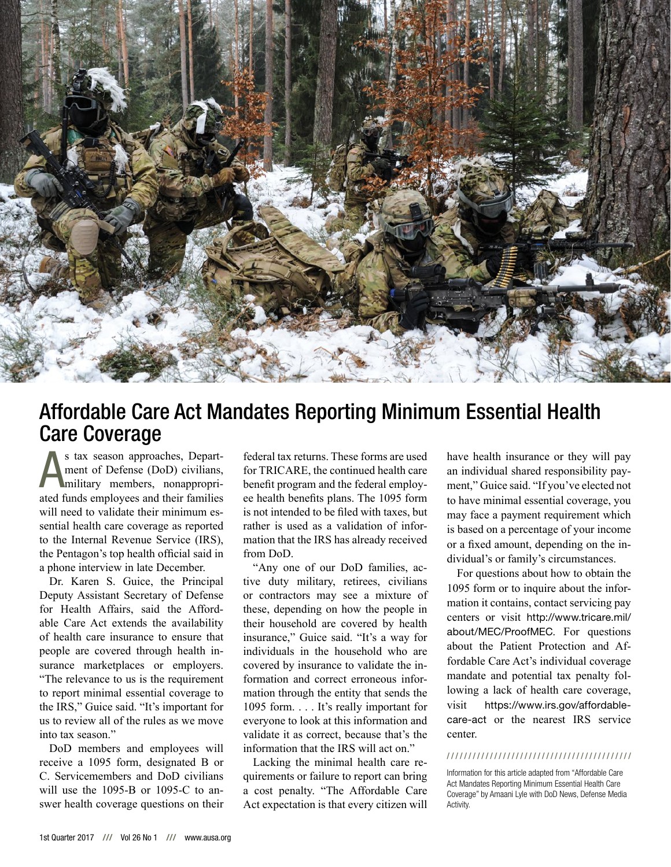

### Affordable Care Act Mandates Reporting Minimum Essential Health Care Coverage

s tax season approaches, Depart-<br>ment of Defense (DoD) civilians,<br>military members, nonappropri-<br>ated funds employees and their families s tax season approaches, Department of Defense (DoD) civilians, military members, nonappropriwill need to validate their minimum essential health care coverage as reported to the Internal Revenue Service (IRS), the Pentagon's top health official said in a phone interview in late December.

Dr. Karen S. Guice, the Principal Deputy Assistant Secretary of Defense for Health Affairs, said the Affordable Care Act extends the availability of health care insurance to ensure that people are covered through health insurance marketplaces or employers. "The relevance to us is the requirement to report minimal essential coverage to the IRS," Guice said. "It's important for us to review all of the rules as we move into tax season."

DoD members and employees will receive a 1095 form, designated B or C. Servicemembers and DoD civilians will use the 1095-B or 1095-C to answer health coverage questions on their

federal tax returns. These forms are used for TRICARE, the continued health care benefit program and the federal employee health benefits plans. The 1095 form is not intended to be filed with taxes, but rather is used as a validation of information that the IRS has already received from DoD.

"Any one of our DoD families, active duty military, retirees, civilians or contractors may see a mixture of these, depending on how the people in their household are covered by health insurance," Guice said. "It's a way for individuals in the household who are covered by insurance to validate the information and correct erroneous information through the entity that sends the 1095 form. . . . It's really important for everyone to look at this information and validate it as correct, because that's the information that the IRS will act on."

Lacking the minimal health care requirements or failure to report can bring a cost penalty. "The Affordable Care Act expectation is that every citizen will have health insurance or they will pay an individual shared responsibility payment," Guice said. "If you've elected not to have minimal essential coverage, you may face a payment requirement which is based on a percentage of your income or a fixed amount, depending on the individual's or family's circumstances.

For questions about how to obtain the 1095 form or to inquire about the information it contains, contact servicing pay centers or visit http://www.tricare.mil/ about/MEC/ProofMEC. For questions about the Patient Protection and Affordable Care Act's individual coverage mandate and potential tax penalty following a lack of health care coverage, visit https://www.irs.gov/affordablecare-act or the nearest IRS service center.

### / / / / / / / / / / / / / / / / / / / / / / / / / / / / / / / / / / / / / / / / / / /

Information for this article adapted from "Affordable Care Act Mandates Reporting Minimum Essential Health Care Coverage" by Amaani Lyle with DoD News, Defense Media Activity.